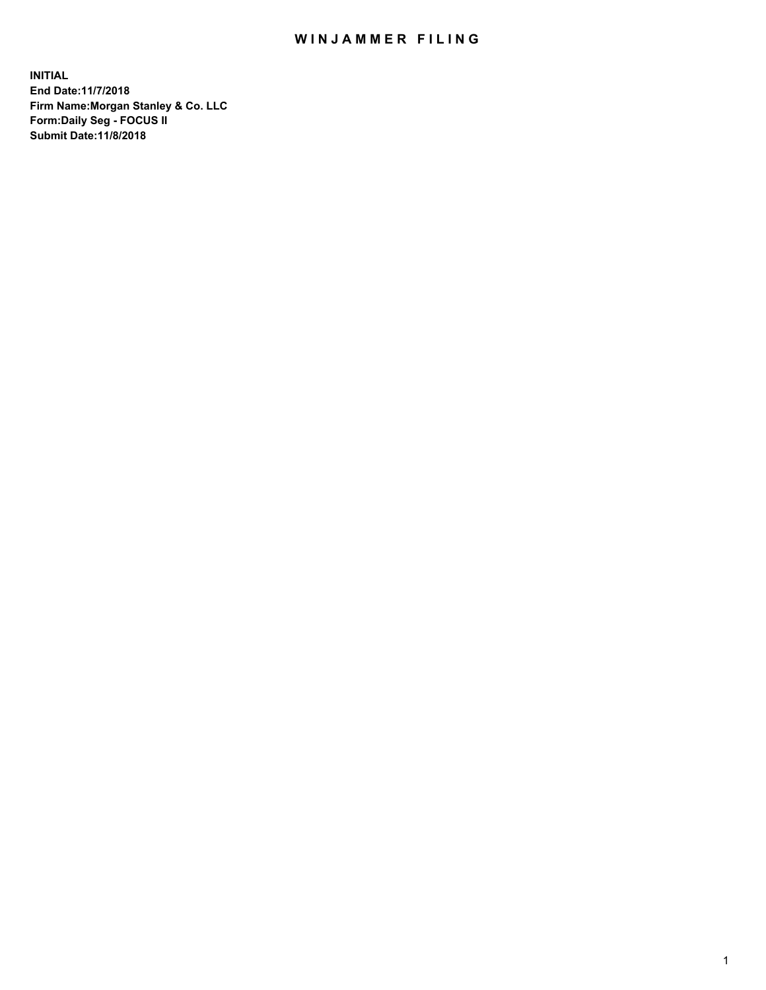## WIN JAMMER FILING

**INITIAL End Date:11/7/2018 Firm Name:Morgan Stanley & Co. LLC Form:Daily Seg - FOCUS II Submit Date:11/8/2018**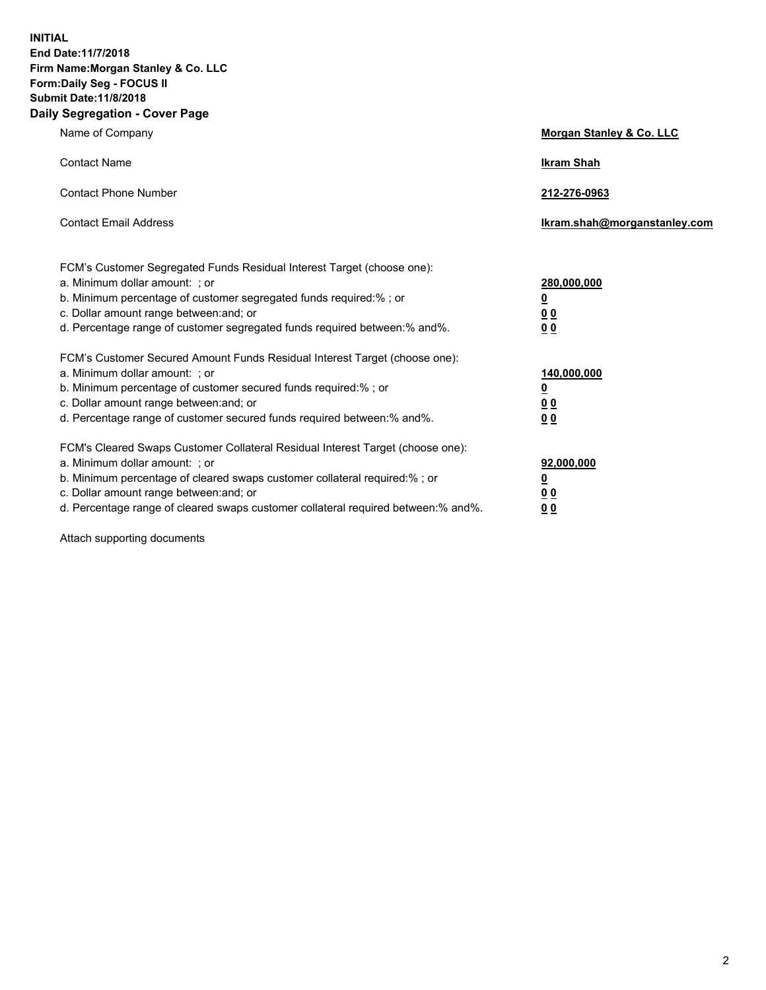**INITIAL End Date:11/7/2018 Firm Name:Morgan Stanley & Co. LLC Form:Daily Seg - FOCUS II Submit Date:11/8/2018 Daily Segregation - Cover Page**

| Name of Company                                                                                                                                                                                                                                                                                                                | Morgan Stanley & Co. LLC                               |
|--------------------------------------------------------------------------------------------------------------------------------------------------------------------------------------------------------------------------------------------------------------------------------------------------------------------------------|--------------------------------------------------------|
| <b>Contact Name</b>                                                                                                                                                                                                                                                                                                            | <b>Ikram Shah</b>                                      |
| <b>Contact Phone Number</b>                                                                                                                                                                                                                                                                                                    | 212-276-0963                                           |
| <b>Contact Email Address</b>                                                                                                                                                                                                                                                                                                   | lkram.shah@morganstanley.com                           |
| FCM's Customer Segregated Funds Residual Interest Target (choose one):<br>a. Minimum dollar amount: ; or<br>b. Minimum percentage of customer segregated funds required:% ; or<br>c. Dollar amount range between: and; or<br>d. Percentage range of customer segregated funds required between:% and%.                         | 280,000,000<br><u>0</u><br><u>0 0</u><br>0 Q           |
| FCM's Customer Secured Amount Funds Residual Interest Target (choose one):<br>a. Minimum dollar amount: ; or<br>b. Minimum percentage of customer secured funds required:%; or<br>c. Dollar amount range between: and; or<br>d. Percentage range of customer secured funds required between:% and%.                            | 140,000,000<br><u>0</u><br><u>00</u><br>0 <sub>0</sub> |
| FCM's Cleared Swaps Customer Collateral Residual Interest Target (choose one):<br>a. Minimum dollar amount: ; or<br>b. Minimum percentage of cleared swaps customer collateral required:% ; or<br>c. Dollar amount range between: and; or<br>d. Percentage range of cleared swaps customer collateral required between:% and%. | 92,000,000<br><u>0</u><br><u>00</u><br>0 <sup>0</sup>  |

Attach supporting documents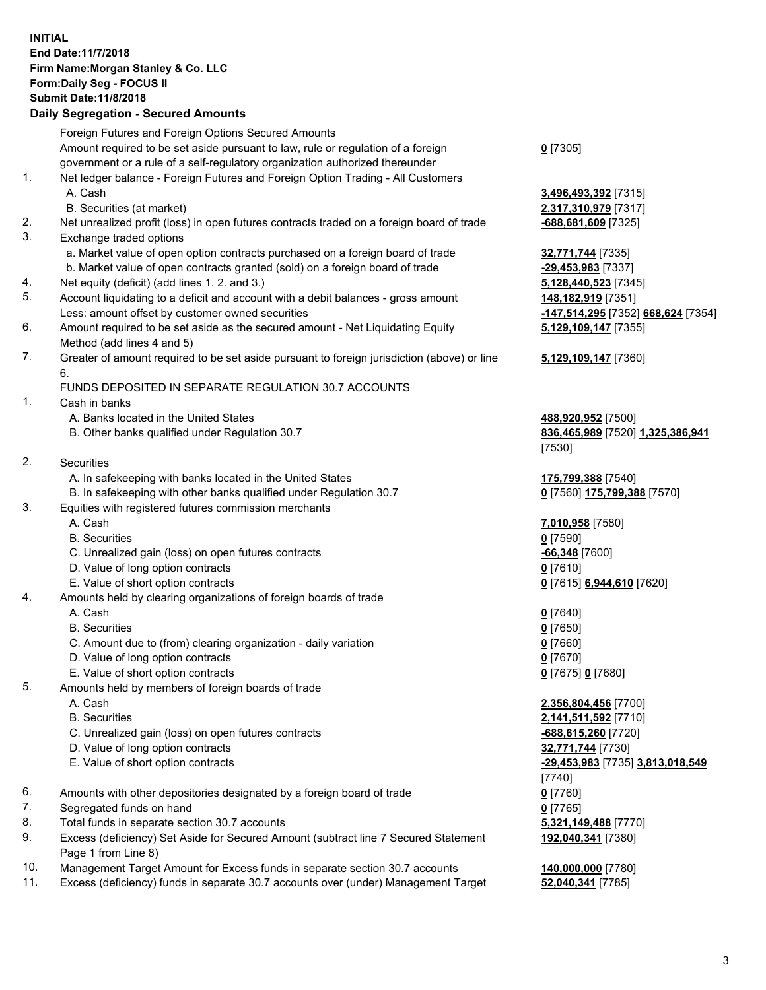## **INITIAL End Date:11/7/2018 Firm Name:Morgan Stanley & Co. LLC Form:Daily Seg - FOCUS II Submit Date:11/8/2018**

**Daily Segregation - Secured Amounts** Foreign Futures and Foreign Options Secured Amounts Amount required to be set aside pursuant to law, rule or regulation of a foreign government or a rule of a self-regulatory organization authorized thereunder 1. Net ledger balance - Foreign Futures and Foreign Option Trading - All Customers A. Cash **3,496,493,392** [7315] B. Securities (at market) **2,317,310,979** [7317] 2. Net unrealized profit (loss) in open futures contracts traded on a foreign board of trade **-688,681,609** [7325] 3. Exchange traded options a. Market value of open option contracts purchased on a foreign board of trade **32,771,744** [7335] b. Market value of open contracts granted (sold) on a foreign board of trade **-29,453,983** [7337] 4. Net equity (deficit) (add lines 1. 2. and 3.) **5,128,440,523** [7345] 5. Account liquidating to a deficit and account with a debit balances - gross amount **148,182,919** [7351] Less: amount offset by customer owned securities **-147,514,295** [7352] **668,624** [7354] 6. Amount required to be set aside as the secured amount - Net Liquidating Equity Method (add lines 4 and 5) 7. Greater of amount required to be set aside pursuant to foreign jurisdiction (above) or line 6. FUNDS DEPOSITED IN SEPARATE REGULATION 30.7 ACCOUNTS 1. Cash in banks A. Banks located in the United States **488,920,952** [7500] B. Other banks qualified under Regulation 30.7 **836,465,989** [7520] **1,325,386,941** 2. Securities A. In safekeeping with banks located in the United States **175,799,388** [7540] B. In safekeeping with other banks qualified under Regulation 30.7 **0** [7560] **175,799,388** [7570] 3. Equities with registered futures commission merchants A. Cash **7,010,958** [7580] B. Securities **0** [7590] C. Unrealized gain (loss) on open futures contracts **-66,348** [7600] D. Value of long option contracts **0** [7610]

- E. Value of short option contracts **0** [7615] **6,944,610** [7620]
- 4. Amounts held by clearing organizations of foreign boards of trade

## A. Cash **0** [7640]

- B. Securities **0** [7650]
- C. Amount due to (from) clearing organization daily variation **0** [7660]
- D. Value of long option contracts **0** [7670]
- E. Value of short option contracts **0** [7675] **0** [7680]
- 5. Amounts held by members of foreign boards of trade
	-
	-
	- C. Unrealized gain (loss) on open futures contracts **-688,615,260** [7720]
	- D. Value of long option contracts **32,771,744** [7730]
	-
- 6. Amounts with other depositories designated by a foreign board of trade **0** [7760]
- 7. Segregated funds on hand **0** [7765]
- 8. Total funds in separate section 30.7 accounts **5,321,149,488** [7770]
- 9. Excess (deficiency) Set Aside for Secured Amount (subtract line 7 Secured Statement Page 1 from Line 8)
- 10. Management Target Amount for Excess funds in separate section 30.7 accounts **140,000,000** [7780]
- 11. Excess (deficiency) funds in separate 30.7 accounts over (under) Management Target **52,040,341** [7785]

**0** [7305]

**5,129,109,147** [7355]

## **5,129,109,147** [7360]

[7530]

 A. Cash **2,356,804,456** [7700] B. Securities **2,141,511,592** [7710] E. Value of short option contracts **-29,453,983** [7735] **3,813,018,549** [7740] **192,040,341** [7380]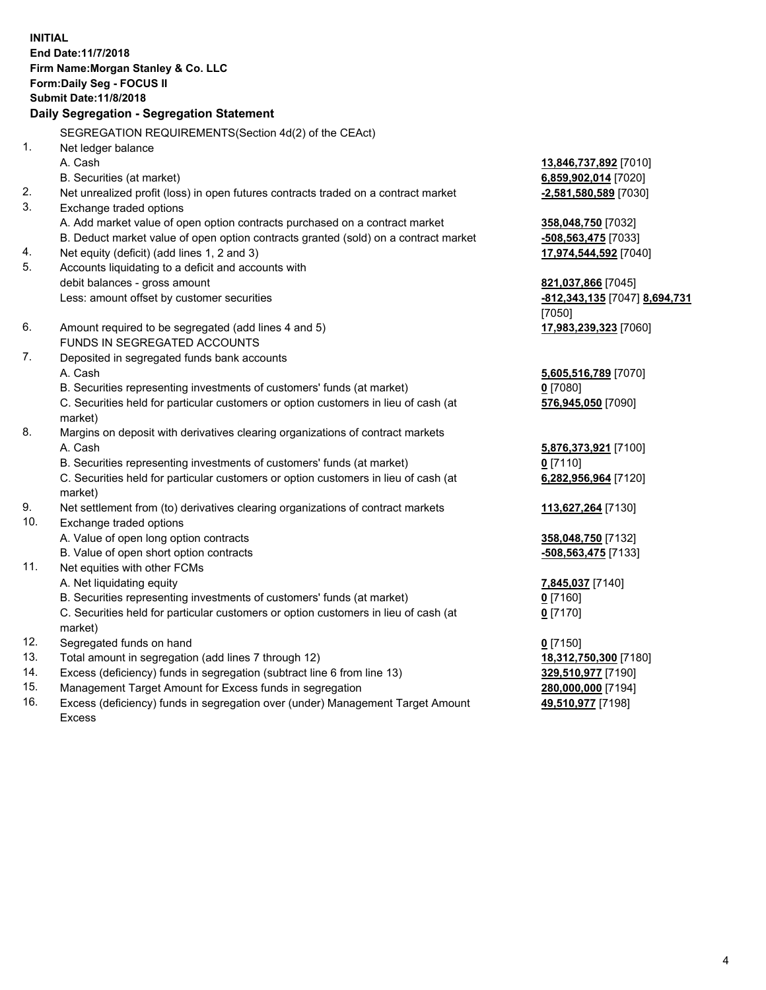**INITIAL End Date:11/7/2018 Firm Name:Morgan Stanley & Co. LLC Form:Daily Seg - FOCUS II Submit Date:11/8/2018 Daily Segregation - Segregation Statement** SEGREGATION REQUIREMENTS(Section 4d(2) of the CEAct) 1. Net ledger balance A. Cash **13,846,737,892** [7010] B. Securities (at market) **6,859,902,014** [7020] 2. Net unrealized profit (loss) in open futures contracts traded on a contract market **-2,581,580,589** [7030] 3. Exchange traded options A. Add market value of open option contracts purchased on a contract market **358,048,750** [7032] B. Deduct market value of open option contracts granted (sold) on a contract market **-508,563,475** [7033] 4. Net equity (deficit) (add lines 1, 2 and 3) **17,974,544,592** [7040] 5. Accounts liquidating to a deficit and accounts with debit balances - gross amount **821,037,866** [7045] Less: amount offset by customer securities **-812,343,135** [7047] **8,694,731** [7050] 6. Amount required to be segregated (add lines 4 and 5) **17,983,239,323** [7060] FUNDS IN SEGREGATED ACCOUNTS 7. Deposited in segregated funds bank accounts A. Cash **5,605,516,789** [7070] B. Securities representing investments of customers' funds (at market) **0** [7080] C. Securities held for particular customers or option customers in lieu of cash (at market) **576,945,050** [7090] 8. Margins on deposit with derivatives clearing organizations of contract markets A. Cash **5,876,373,921** [7100] B. Securities representing investments of customers' funds (at market) **0** [7110] C. Securities held for particular customers or option customers in lieu of cash (at market) **6,282,956,964** [7120] 9. Net settlement from (to) derivatives clearing organizations of contract markets **113,627,264** [7130] 10. Exchange traded options A. Value of open long option contracts **358,048,750** [7132] B. Value of open short option contracts **-508,563,475** [7133] 11. Net equities with other FCMs A. Net liquidating equity **7,845,037** [7140] B. Securities representing investments of customers' funds (at market) **0** [7160] C. Securities held for particular customers or option customers in lieu of cash (at market) **0** [7170] 12. Segregated funds on hand **0** [7150] 13. Total amount in segregation (add lines 7 through 12) **18,312,750,300** [7180] 14. Excess (deficiency) funds in segregation (subtract line 6 from line 13) **329,510,977** [7190]

- 15. Management Target Amount for Excess funds in segregation **280,000,000** [7194]
- 16. Excess (deficiency) funds in segregation over (under) Management Target Amount Excess

**49,510,977** [7198]